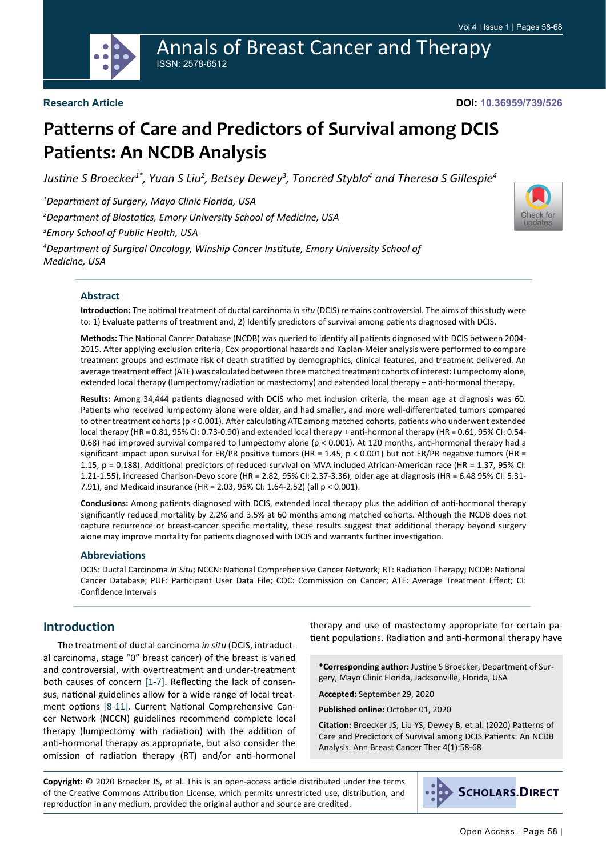Annals of Breast Cancer and Therapy ISSN: 2578-6512

[Check for](http://crossmark.crossref.org/dialog/?doi=10.36959/739/526&domain=pdf) updates

# **Patterns of Care and Predictors of Survival among DCIS Patients: An NCDB Analysis**

*Justine S Broecker1\*, Yuan S Liu<sup>2</sup> , Betsey Dewey<sup>3</sup> , Toncred Styblo<sup>4</sup> and Theresa S Gillespie<sup>4</sup>*

*1 Department of Surgery, Mayo Clinic Florida, USA*

*2 Department of Biostatics, Emory University School of Medicine, USA*

*3 Emory School of Public Health, USA*

*4 Department of Surgical Oncology, Winship Cancer Institute, Emory University School of Medicine, USA*



**Introduction:** The optimal treatment of ductal carcinoma *in situ* (DCIS) remains controversial. The aims of this study were to: 1) Evaluate patterns of treatment and, 2) Identify predictors of survival among patients diagnosed with DCIS.

**Methods:** The National Cancer Database (NCDB) was queried to identify all patients diagnosed with DCIS between 2004- 2015. After applying exclusion criteria, Cox proportional hazards and Kaplan-Meier analysis were performed to compare treatment groups and estimate risk of death stratified by demographics, clinical features, and treatment delivered. An average treatment effect (ATE) was calculated between three matched treatment cohorts of interest: Lumpectomy alone, extended local therapy (lumpectomy/radiation or mastectomy) and extended local therapy + anti-hormonal therapy.

**Results:** Among 34,444 patients diagnosed with DCIS who met inclusion criteria, the mean age at diagnosis was 60. Patients who received lumpectomy alone were older, and had smaller, and more well-differentiated tumors compared to other treatment cohorts (p < 0.001). After calculating ATE among matched cohorts, patients who underwent extended local therapy (HR = 0.81, 95% CI: 0.73-0.90) and extended local therapy + anti-hormonal therapy (HR = 0.61, 95% CI: 0.54- 0.68) had improved survival compared to lumpectomy alone (p < 0.001). At 120 months, anti-hormonal therapy had a significant impact upon survival for ER/PR positive tumors (HR = 1.45, p < 0.001) but not ER/PR negative tumors (HR = 1.15, p = 0.188). Additional predictors of reduced survival on MVA included African-American race (HR = 1.37, 95% CI: 1.21-1.55), increased Charlson-Deyo score (HR = 2.82, 95% CI: 2.37-3.36), older age at diagnosis (HR = 6.48 95% CI: 5.31- 7.91), and Medicaid insurance (HR = 2.03, 95% CI: 1.64-2.52) (all p < 0.001).

**Conclusions:** Among patients diagnosed with DCIS, extended local therapy plus the addition of anti-hormonal therapy significantly reduced mortality by 2.2% and 3.5% at 60 months among matched cohorts. Although the NCDB does not capture recurrence or breast-cancer specific mortality, these results suggest that additional therapy beyond surgery alone may improve mortality for patients diagnosed with DCIS and warrants further investigation.

#### **Abbreviations**

DCIS: Ductal Carcinoma *in Situ*; NCCN: National Comprehensive Cancer Network; RT: Radiation Therapy; NCDB: National Cancer Database; PUF: Participant User Data File; COC: Commission on Cancer; ATE: Average Treatment Effect; CI: Confidence Intervals

#### **Introduction**

The treatment of ductal carcinoma *in situ* (DCIS, intraductal carcinoma, stage "0" breast cancer) of the breast is varied and controversial, with overtreatment and under-treatment both causes of concern [[1-](#page-9-0)[7\]](#page-9-1). Reflecting the lack of consensus, national guidelines allow for a wide range of local treatment options [[8-](#page-9-2)[11](#page-9-3)]. Current National Comprehensive Cancer Network (NCCN) guidelines recommend complete local therapy (lumpectomy with radiation) with the addition of anti-hormonal therapy as appropriate, but also consider the omission of radiation therapy (RT) and/or anti-hormonal therapy and use of mastectomy appropriate for certain patient populations. Radiation and anti-hormonal therapy have

**\*Corresponding author:** Justine S Broecker, Department of Surgery, Mayo Clinic Florida, Jacksonville, Florida, USA

**Accepted:** September 29, 2020

**Published online:** October 01, 2020

**Citation:** Broecker JS, Liu YS, Dewey B, et al. (2020) Patterns of Care and Predictors of Survival among DCIS Patients: An NCDB Analysis. Ann Breast Cancer Ther 4(1):58-68

**Copyright:** © 2020 Broecker JS, et al. This is an open-access article distributed under the terms of the Creative Commons Attribution License, which permits unrestricted use, distribution, and reproduction in any medium, provided the original author and source are credited.

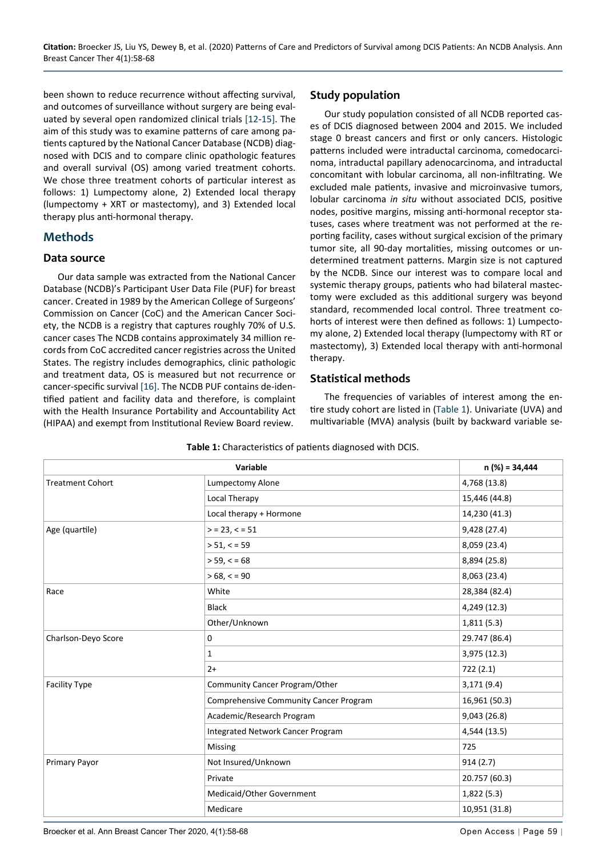been shown to reduce recurrence without affecting survival, and outcomes of surveillance without surgery are being evaluated by several open randomized clinical trials [[12](#page-9-4)[-15](#page-9-5)]. The aim of this study was to examine patterns of care among patients captured by the National Cancer Database (NCDB) diagnosed with DCIS and to compare clinic opathologic features and overall survival (OS) among varied treatment cohorts. We chose three treatment cohorts of particular interest as follows: 1) Lumpectomy alone, 2) Extended local therapy (lumpectomy + XRT or mastectomy), and 3) Extended local therapy plus anti-hormonal therapy.

#### **Methods**

#### **Data source**

Our data sample was extracted from the National Cancer Database (NCDB)'s Participant User Data File (PUF) for breast cancer. Created in 1989 by the American College of Surgeons' Commission on Cancer (CoC) and the American Cancer Society, the NCDB is a registry that captures roughly 70% of U.S. cancer cases The NCDB contains approximately 34 million records from CoC accredited cancer registries across the United States. The registry includes demographics, clinic pathologic and treatment data, OS is measured but not recurrence or cancer-specific survival [\[16](#page-9-6)]. The NCDB PUF contains de-identified patient and facility data and therefore, is complaint with the Health Insurance Portability and Accountability Act (HIPAA) and exempt from Institutional Review Board review.

#### **Study population**

Our study population consisted of all NCDB reported cases of DCIS diagnosed between 2004 and 2015. We included stage 0 breast cancers and first or only cancers. Histologic patterns included were intraductal carcinoma, comedocarcinoma, intraductal papillary adenocarcinoma, and intraductal concomitant with lobular carcinoma, all non-infiltrating. We excluded male patients, invasive and microinvasive tumors, lobular carcinoma *in situ* without associated DCIS, positive nodes, positive margins, missing anti-hormonal receptor statuses, cases where treatment was not performed at the reporting facility, cases without surgical excision of the primary tumor site, all 90-day mortalities, missing outcomes or undetermined treatment patterns. Margin size is not captured by the NCDB. Since our interest was to compare local and systemic therapy groups, patients who had bilateral mastectomy were excluded as this additional surgery was beyond standard, recommended local control. Three treatment cohorts of interest were then defined as follows: 1) Lumpectomy alone, 2) Extended local therapy (lumpectomy with RT or mastectomy), 3) Extended local therapy with anti-hormonal therapy.

#### **Statistical methods**

The frequencies of variables of interest among the entire study cohort are listed in ([Table 1](#page-1-0)). Univariate (UVA) and multivariable (MVA) analysis (built by backward variable se-

| Variable                |                                        | $n$ (%) = 34,444 |
|-------------------------|----------------------------------------|------------------|
| <b>Treatment Cohort</b> | Lumpectomy Alone                       | 4,768 (13.8)     |
|                         | Local Therapy                          | 15,446 (44.8)    |
|                         | Local therapy + Hormone                | 14,230 (41.3)    |
| Age (quartile)          | $>$ = 23, < = 51                       | 9,428 (27.4)     |
|                         | > 51, < 59                             | 8,059 (23.4)     |
|                         | $> 59, \le 68$                         | 8,894 (25.8)     |
|                         | $>68, \le 90$                          | 8,063 (23.4)     |
| Race                    | White                                  | 28,384 (82.4)    |
|                         | <b>Black</b>                           | 4,249 (12.3)     |
|                         | Other/Unknown                          | 1,811(5.3)       |
| Charlson-Deyo Score     | 0                                      | 29.747 (86.4)    |
|                         | 1                                      | 3,975 (12.3)     |
|                         | $2+$                                   | 722 (2.1)        |
| <b>Facility Type</b>    | Community Cancer Program/Other         | 3,171(9.4)       |
|                         | Comprehensive Community Cancer Program | 16,961 (50.3)    |
|                         | Academic/Research Program              | 9,043 (26.8)     |
|                         | Integrated Network Cancer Program      | 4,544 (13.5)     |
|                         | Missing                                | 725              |
| Primary Payor           | Not Insured/Unknown                    | 914(2.7)         |
|                         | Private                                | 20.757 (60.3)    |
|                         | Medicaid/Other Government              | 1,822(5.3)       |
|                         | Medicare                               | 10,951 (31.8)    |

<span id="page-1-0"></span>**Table 1:** Characteristics of patients diagnosed with DCIS.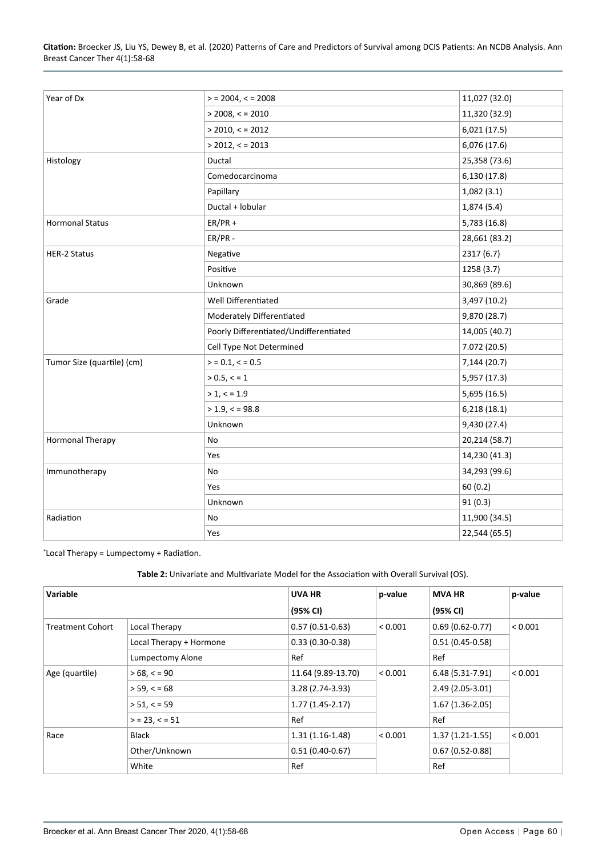| Year of Dx                 | $>$ = 2004, < = 2008                   | 11,027 (32.0) |
|----------------------------|----------------------------------------|---------------|
|                            | $>$ 2008, < = 2010                     | 11,320 (32.9) |
|                            | $>$ 2010, < = 2012                     | 6,021(17.5)   |
|                            | $>$ 2012, < = 2013                     | 6,076 (17.6)  |
| Histology                  | Ductal                                 | 25,358 (73.6) |
|                            | Comedocarcinoma                        | 6,130 (17.8)  |
|                            | Papillary                              | 1,082(3.1)    |
|                            | Ductal + lobular                       | 1,874 (5.4)   |
| <b>Hormonal Status</b>     | $ER/PR +$                              | 5,783 (16.8)  |
|                            | ER/PR-                                 | 28,661 (83.2) |
| <b>HER-2 Status</b>        | Negative                               | 2317 (6.7)    |
|                            | Positive                               | 1258 (3.7)    |
|                            | Unknown                                | 30,869 (89.6) |
| Grade                      | Well Differentiated                    | 3,497 (10.2)  |
|                            | Moderately Differentiated              | 9,870 (28.7)  |
|                            | Poorly Differentiated/Undifferentiated | 14,005 (40.7) |
|                            | Cell Type Not Determined               | 7.072 (20.5)  |
| Tumor Size (quartile) (cm) | $>$ = 0.1, < = 0.5                     | 7,144 (20.7)  |
|                            | $> 0.5, \le 1$                         | 5,957 (17.3)  |
|                            | > 1, < 1.9                             | 5,695 (16.5)  |
|                            | $> 1.9, \le 98.8$                      | 6,218(18.1)   |
|                            | Unknown                                | 9,430 (27.4)  |
| <b>Hormonal Therapy</b>    | No                                     | 20,214 (58.7) |
|                            | Yes                                    | 14,230 (41.3) |
| Immunotherapy              | No                                     | 34,293 (99.6) |
|                            | Yes                                    | 60(0.2)       |
|                            | Unknown                                | 91(0.3)       |
| Radiation                  | No                                     | 11,900 (34.5) |
|                            | Yes                                    | 22,544 (65.5) |

\* Local Therapy = Lumpectomy + Radiation.

<span id="page-2-0"></span>**Table 2:** Univariate and Multivariate Model for the Association with Overall Survival (OS).

| Variable                |                         | UVA HR             | p-value | <b>MVA HR</b>       | p-value |
|-------------------------|-------------------------|--------------------|---------|---------------------|---------|
|                         |                         | (95% CI)           |         | (95% CI)            |         |
| <b>Treatment Cohort</b> | Local Therapy           | $0.57(0.51-0.63)$  | < 0.001 | $0.69(0.62 - 0.77)$ | < 0.001 |
|                         | Local Therapy + Hormone | $0.33(0.30-0.38)$  |         | $0.51(0.45 - 0.58)$ |         |
|                         | Lumpectomy Alone        | Ref                |         | Ref                 |         |
| Age (quartile)          | $>68, \le 90$           | 11.64 (9.89-13.70) | < 0.001 | $6.48(5.31-7.91)$   | < 0.001 |
|                         | $> 59, \le 68$          | 3.28 (2.74-3.93)   |         | $2.49(2.05-3.01)$   |         |
|                         | > 51, < 59              | $1.77(1.45-2.17)$  |         | $1.67(1.36-2.05)$   |         |
|                         | $>$ = 23, $<$ = 51      | Ref                |         | Ref                 |         |
| Race                    | Black                   | $1.31(1.16-1.48)$  | < 0.001 | $1.37(1.21-1.55)$   | < 0.001 |
|                         | Other/Unknown           | $0.51(0.40-0.67)$  |         | $0.67(0.52-0.88)$   |         |
|                         | White                   | Ref                |         | Ref                 |         |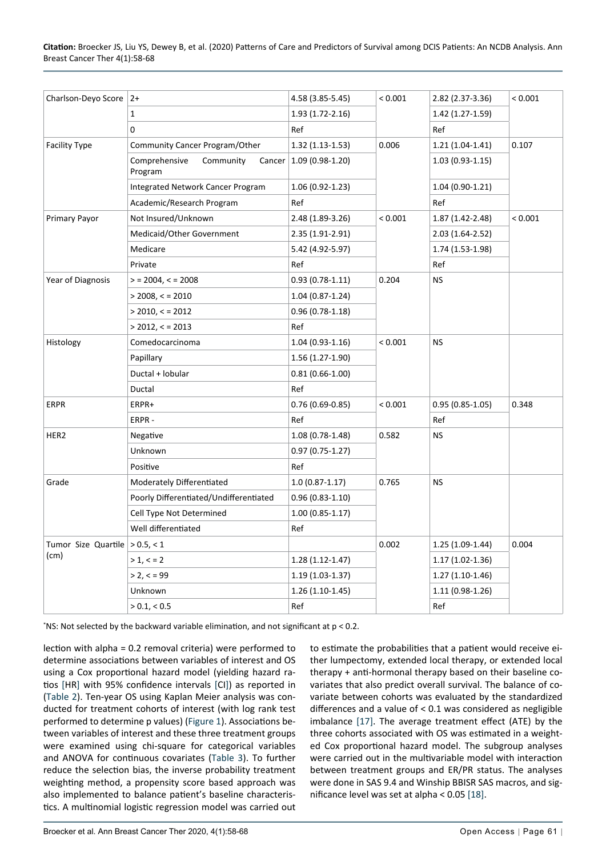| Charlson-Deyo Score                      | $2+$                                   | 4.58 (3.85-5.45)          | < 0.001 | $2.82(2.37-3.36)$   | < 0.001 |
|------------------------------------------|----------------------------------------|---------------------------|---------|---------------------|---------|
|                                          | $\mathbf{1}$                           | 1.93 (1.72-2.16)          |         | 1.42 (1.27-1.59)    |         |
|                                          | 0                                      | Ref                       |         | Ref                 |         |
| <b>Facility Type</b>                     | Community Cancer Program/Other         | 1.32 (1.13-1.53)          | 0.006   | $1.21(1.04-1.41)$   | 0.107   |
|                                          | Comprehensive<br>Community<br>Program  | Cancer   1.09 (0.98-1.20) |         | $1.03(0.93-1.15)$   |         |
|                                          | Integrated Network Cancer Program      | 1.06 (0.92-1.23)          |         | $1.04(0.90-1.21)$   |         |
|                                          | Academic/Research Program              | Ref                       |         | Ref                 |         |
| Primary Payor                            | Not Insured/Unknown                    | 2.48 (1.89-3.26)          | < 0.001 | $1.87(1.42 - 2.48)$ | < 0.001 |
|                                          | Medicaid/Other Government              | 2.35 (1.91-2.91)          |         | $2.03(1.64-2.52)$   |         |
|                                          | Medicare                               | 5.42 (4.92-5.97)          |         | 1.74 (1.53-1.98)    |         |
|                                          | Private                                | Ref                       |         | Ref                 |         |
| Year of Diagnosis                        | $>$ = 2004, < = 2008                   | $0.93(0.78-1.11)$         | 0.204   | <b>NS</b>           |         |
|                                          | $>$ 2008, < = 2010                     | 1.04 (0.87-1.24)          |         |                     |         |
|                                          | $>$ 2010, < = 2012                     | $0.96(0.78-1.18)$         |         |                     |         |
|                                          | $>$ 2012, < = 2013                     | Ref                       |         |                     |         |
| Histology                                | Comedocarcinoma                        | $1.04(0.93-1.16)$         | < 0.001 | <b>NS</b>           |         |
|                                          | Papillary                              | 1.56 (1.27-1.90)          |         |                     |         |
|                                          | Ductal + lobular                       | $0.81(0.66-1.00)$         |         |                     |         |
|                                          | Ductal                                 | Ref                       |         |                     |         |
| <b>ERPR</b>                              | ERPR+                                  | $0.76(0.69-0.85)$         | < 0.001 | $0.95(0.85-1.05)$   | 0.348   |
|                                          | ERPR-                                  | Ref                       |         | Ref                 |         |
| HER2                                     | Negative                               | 1.08 (0.78-1.48)          | 0.582   | <b>NS</b>           |         |
|                                          | Unknown                                | $0.97(0.75-1.27)$         |         |                     |         |
|                                          | Positive                               | Ref                       |         |                     |         |
| Grade                                    | Moderately Differentiated              | $1.0(0.87 - 1.17)$        | 0.765   | <b>NS</b>           |         |
|                                          | Poorly Differentiated/Undifferentiated | $0.96(0.83-1.10)$         |         |                     |         |
|                                          | Cell Type Not Determined               | $1.00(0.85-1.17)$         |         |                     |         |
|                                          | Well differentiated                    | Ref                       |         |                     |         |
| Tumor Size Quartile $> 0.5, < 1$<br>(cm) |                                        |                           | 0.002   | $1.25(1.09-1.44)$   | 0.004   |
|                                          | > 1, < 2                               | $1.28(1.12-1.47)$         |         | $1.17(1.02-1.36)$   |         |
|                                          | > 2, < 99                              | $1.19(1.03-1.37)$         |         | $1.27(1.10-1.46)$   |         |
|                                          | Unknown                                | $1.26(1.10-1.45)$         |         | 1.11 (0.98-1.26)    |         |
|                                          | > 0.1, < 0.5                           | Ref                       |         | Ref                 |         |

\* NS: Not selected by the backward variable elimination, and not significant at p < 0.2.

lection with alpha = 0.2 removal criteria) were performed to determine associations between variables of interest and OS using a Cox proportional hazard model (yielding hazard ratios [HR] with 95% confidence intervals [CI]) as reported in ([Table 2\)](#page-2-0). Ten-year OS using Kaplan Meier analysis was conducted for treatment cohorts of interest (with log rank test performed to determine p values) ([Figure 1](#page-4-0)). Associations between variables of interest and these three treatment groups were examined using chi-square for categorical variables and ANOVA for continuous covariates ([Table 3\)](#page-4-1). To further reduce the selection bias, the inverse probability treatment weighting method, a propensity score based approach was also implemented to balance patient's baseline characteristics. A multinomial logistic regression model was carried out

to estimate the probabilities that a patient would receive either lumpectomy, extended local therapy, or extended local therapy + anti-hormonal therapy based on their baseline covariates that also predict overall survival. The balance of covariate between cohorts was evaluated by the standardized differences and a value of < 0.1 was considered as negligible imbalance [\[17\]](#page-10-0). The average treatment effect (ATE) by the three cohorts associated with OS was estimated in a weighted Cox proportional hazard model. The subgroup analyses were carried out in the multivariable model with interaction between treatment groups and ER/PR status. The analyses were done in SAS 9.4 and Winship BBISR SAS macros, and significance level was set at alpha < 0.05 [[18\]](#page-10-1).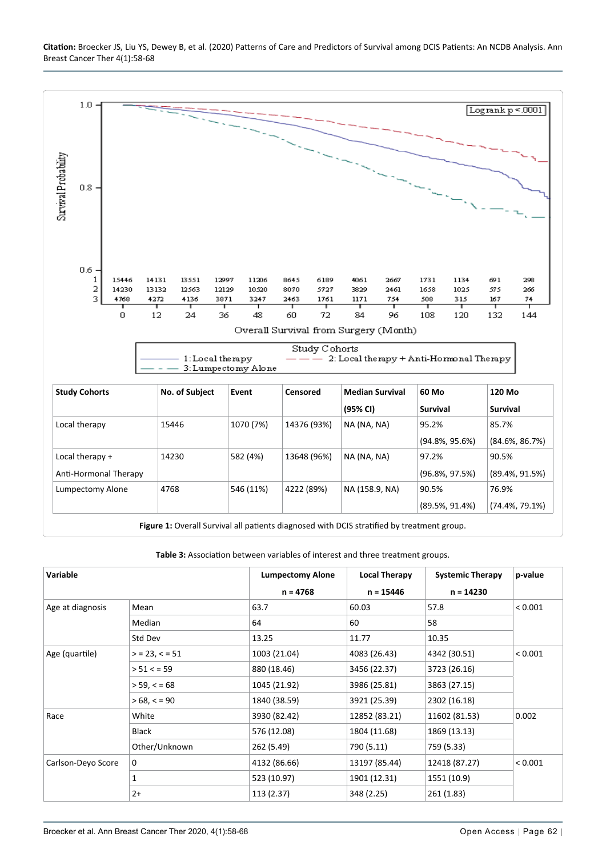<span id="page-4-0"></span>

<span id="page-4-1"></span>**Table 3:** Association between variables of interest and three treatment groups.

| Variable           |                    | <b>Lumpectomy Alone</b> | <b>Local Therapy</b> | <b>Systemic Therapy</b> | p-value |
|--------------------|--------------------|-------------------------|----------------------|-------------------------|---------|
|                    |                    | $n = 4768$              | $n = 15446$          | $n = 14230$             |         |
| Age at diagnosis   | Mean               | 63.7                    | 60.03                | 57.8                    | < 0.001 |
|                    | Median             | 64                      | 60                   | 58                      |         |
|                    | Std Dev            | 13.25                   | 11.77                | 10.35                   |         |
| Age (quartile)     | $>$ = 23, $<$ = 51 | 1003 (21.04)            | 4083 (26.43)         | 4342 (30.51)            | < 0.001 |
|                    | > 51 < 59          | 880 (18.46)             | 3456 (22.37)         | 3723 (26.16)            |         |
|                    | $> 59, \le 68$     | 1045 (21.92)            | 3986 (25.81)         | 3863 (27.15)            |         |
|                    | $>68, \le 90$      | 1840 (38.59)            | 3921 (25.39)         | 2302 (16.18)            |         |
| Race               | White              | 3930 (82.42)            | 12852 (83.21)        | 11602 (81.53)           | 0.002   |
|                    | Black              | 576 (12.08)             | 1804 (11.68)         | 1869 (13.13)            |         |
|                    | Other/Unknown      | 262 (5.49)              | 790 (5.11)           | 759 (5.33)              |         |
| Carlson-Deyo Score | $\mathbf 0$        | 4132 (86.66)            | 13197 (85.44)        | 12418 (87.27)           | < 0.001 |
|                    | 1                  | 523 (10.97)             | 1901 (12.31)         | 1551 (10.9)             |         |
|                    | $2+$               | 113 (2.37)              | 348 (2.25)           | 261 (1.83)              |         |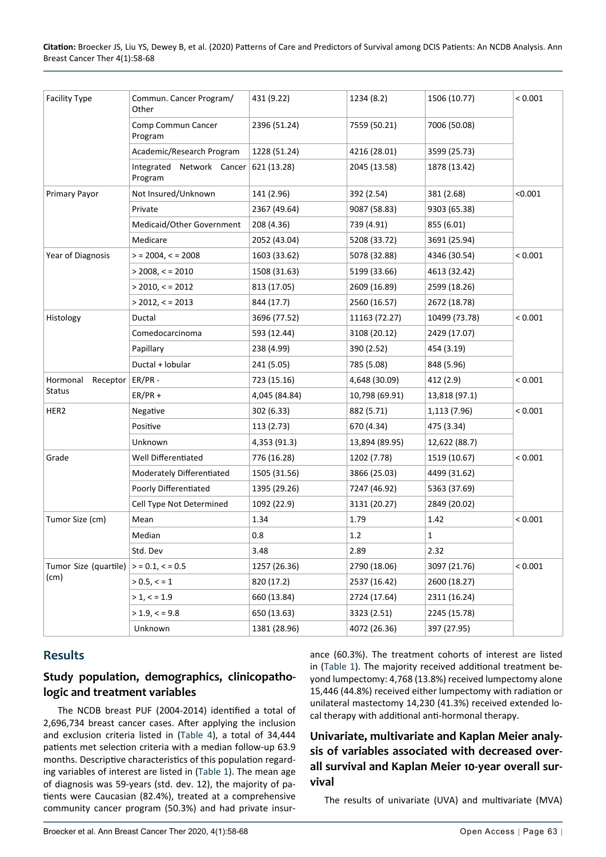**Citation:** Broecker JS, Liu YS, Dewey B, et al. (2020) Patterns of Care and Predictors of Survival among DCIS Patients: An NCDB Analysis. Ann Breast Cancer Ther 4(1):58-68

| <b>Facility Type</b>          | Commun. Cancer Program/<br>Other                 | 431 (9.22)    | 1234 (8.2)     | 1506 (10.77)  | < 0.001 |
|-------------------------------|--------------------------------------------------|---------------|----------------|---------------|---------|
|                               | Comp Commun Cancer<br>Program                    | 2396 (51.24)  | 7559 (50.21)   | 7006 (50.08)  |         |
|                               | Academic/Research Program                        | 1228 (51.24)  | 4216 (28.01)   | 3599 (25.73)  |         |
|                               | Integrated Network Cancer 621 (13.28)<br>Program |               | 2045 (13.58)   | 1878 (13.42)  |         |
| Primary Payor                 | Not Insured/Unknown                              | 141 (2.96)    | 392 (2.54)     | 381 (2.68)    | < 0.001 |
|                               | Private                                          | 2367 (49.64)  | 9087 (58.83)   | 9303 (65.38)  |         |
|                               | Medicaid/Other Government                        | 208 (4.36)    | 739 (4.91)     | 855 (6.01)    |         |
|                               | Medicare                                         | 2052 (43.04)  | 5208 (33.72)   | 3691 (25.94)  |         |
| Year of Diagnosis             | $>$ = 2004, < = 2008                             | 1603 (33.62)  | 5078 (32.88)   | 4346 (30.54)  | < 0.001 |
|                               | $>$ 2008, < = 2010                               | 1508 (31.63)  | 5199 (33.66)   | 4613 (32.42)  |         |
|                               | $>$ 2010, < = 2012                               | 813 (17.05)   | 2609 (16.89)   | 2599 (18.26)  |         |
|                               | $>$ 2012, < = 2013                               | 844 (17.7)    | 2560 (16.57)   | 2672 (18.78)  |         |
| Histology                     | Ductal                                           | 3696 (77.52)  | 11163 (72.27)  | 10499 (73.78) | < 0.001 |
|                               | Comedocarcinoma                                  | 593 (12.44)   | 3108 (20.12)   | 2429 (17.07)  |         |
|                               | Papillary                                        | 238 (4.99)    | 390 (2.52)     | 454 (3.19)    |         |
|                               | Ductal + lobular                                 | 241 (5.05)    | 785 (5.08)     | 848 (5.96)    |         |
| Hormonal<br>Receptor          | $ER/PR -$                                        | 723 (15.16)   | 4,648 (30.09)  | 412 (2.9)     | < 0.001 |
| <b>Status</b>                 | $ER/PR +$                                        | 4,045 (84.84) | 10,798 (69.91) | 13,818 (97.1) |         |
| HER2                          | Negative                                         | 302 (6.33)    | 882 (5.71)     | 1,113 (7.96)  | < 0.001 |
|                               | Positive                                         | 113 (2.73)    | 670 (4.34)     | 475 (3.34)    |         |
|                               | Unknown                                          | 4,353 (91.3)  | 13,894 (89.95) | 12,622 (88.7) |         |
| Grade                         | Well Differentiated                              | 776 (16.28)   | 1202 (7.78)    | 1519 (10.67)  | < 0.001 |
|                               | Moderately Differentiated                        | 1505 (31.56)  | 3866 (25.03)   | 4499 (31.62)  |         |
|                               | Poorly Differentiated                            | 1395 (29.26)  | 7247 (46.92)   | 5363 (37.69)  |         |
|                               | Cell Type Not Determined                         | 1092 (22.9)   | 3131 (20.27)   | 2849 (20.02)  |         |
| Tumor Size (cm)               | Mean                                             | 1.34          | 1.79           | 1.42          | < 0.001 |
|                               | Median                                           | 0.8           | 1.2            | 1             |         |
|                               | Std. Dev                                         | 3.48          | 2.89           | 2.32          |         |
| Tumor Size (quartile)<br>(cm) | $>$ = 0.1, < = 0.5                               | 1257 (26.36)  | 2790 (18.06)   | 3097 (21.76)  | < 0.001 |
|                               | > 0.5, < 1                                       | 820 (17.2)    | 2537 (16.42)   | 2600 (18.27)  |         |
|                               | > 1, < 1.9                                       | 660 (13.84)   | 2724 (17.64)   | 2311 (16.24)  |         |
|                               | $> 1.9, \le 9.8$                                 | 650 (13.63)   | 3323 (2.51)    | 2245 (15.78)  |         |
|                               | Unknown                                          | 1381 (28.96)  | 4072 (26.36)   | 397 (27.95)   |         |

#### **Results**

#### **Study population, demographics, clinicopathologic and treatment variables**

The NCDB breast PUF (2004-2014) identified a total of 2,696,734 breast cancer cases. After applying the inclusion and exclusion criteria listed in [\(Table 4\)](#page-6-0), a total of 34,444 patients met selection criteria with a median follow-up 63.9 months. Descriptive characteristics of this population regarding variables of interest are listed in ([Table 1\)](#page-1-0). The mean age of diagnosis was 59-years (std. dev. 12), the majority of patients were Caucasian (82.4%), treated at a comprehensive community cancer program (50.3%) and had private insurance (60.3%). The treatment cohorts of interest are listed in ([Table 1\)](#page-1-0). The majority received additional treatment beyond lumpectomy: 4,768 (13.8%) received lumpectomy alone 15,446 (44.8%) received either lumpectomy with radiation or unilateral mastectomy 14,230 (41.3%) received extended local therapy with additional anti-hormonal therapy.

#### **Univariate, multivariate and Kaplan Meier analysis of variables associated with decreased overall survival and Kaplan Meier 10-year overall survival**

The results of univariate (UVA) and multivariate (MVA)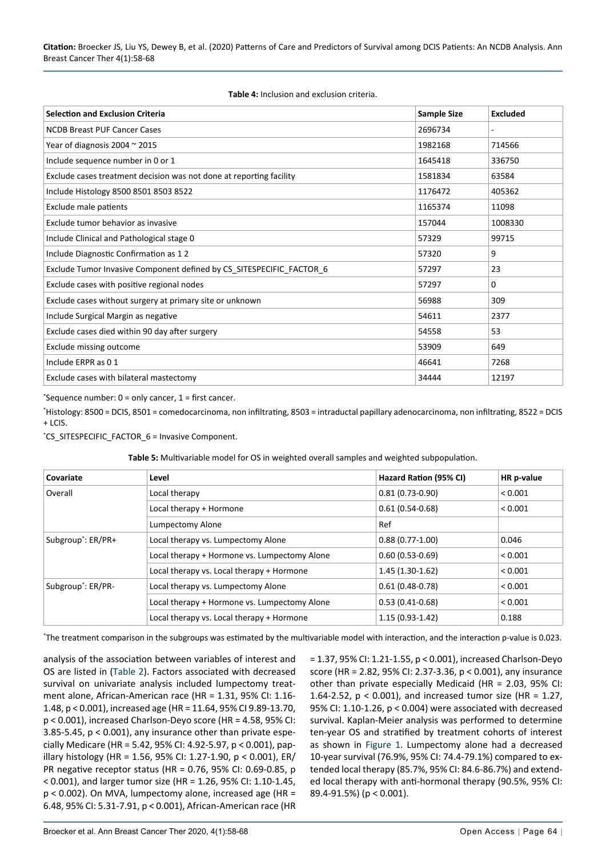<span id="page-6-0"></span>

| <b>Table 4:</b> Inclusion and exclusion criteria. |
|---------------------------------------------------|
|---------------------------------------------------|

| <b>Selection and Exclusion Criteria</b>                              | <b>Sample Size</b> | <b>Excluded</b>          |
|----------------------------------------------------------------------|--------------------|--------------------------|
| <b>NCDB Breast PUF Cancer Cases</b>                                  | 2696734            | $\overline{\phantom{a}}$ |
| Year of diagnosis 2004 $\approx$ 2015                                | 1982168            | 714566                   |
| Include sequence number in 0 or 1                                    | 1645418            | 336750                   |
| Exclude cases treatment decision was not done at reporting facility  | 1581834            | 63584                    |
| Include Histology 8500 8501 8503 8522                                | 1176472            | 405362                   |
| Exclude male patients                                                | 1165374            | 11098                    |
| Exclude tumor behavior as invasive                                   | 157044             | 1008330                  |
| Include Clinical and Pathological stage 0                            | 57329              | 99715                    |
| Include Diagnostic Confirmation as 12                                | 57320              | 9                        |
| Exclude Tumor Invasive Component defined by CS_SITESPECIFIC_FACTOR_6 | 57297              | 23                       |
| Exclude cases with positive regional nodes                           | 57297              | $\Omega$                 |
| Exclude cases without surgery at primary site or unknown             | 56988              | 309                      |
| Include Surgical Margin as negative                                  | 54611              | 2377                     |
| Exclude cases died within 90 day after surgery                       | 54558              | 53                       |
| Exclude missing outcome                                              | 53909              | 649                      |
| Include ERPR as 01                                                   | 46641              | 7268                     |
| Exclude cases with bilateral mastectomy                              | 34444              | 12197                    |

\* Sequence number: 0 = only cancer, 1 = first cancer.

\* Histology: 8500 = DCIS, 8501 = comedocarcinoma, non infiltrating, 8503 = intraductal papillary adenocarcinoma, non infiltrating, 8522 = DCIS + LCIS.

\* CS\_SITESPECIFIC\_FACTOR\_6 = Invasive Component.

<span id="page-6-1"></span>

| Covariate                      | Level                                        | Hazard Ration (95% CI) | HR p-value |
|--------------------------------|----------------------------------------------|------------------------|------------|
| Overall                        | Local therapy                                | $0.81(0.73-0.90)$      | < 0.001    |
|                                | Local therapy + Hormone                      | $0.61(0.54-0.68)$      | < 0.001    |
|                                | Lumpectomy Alone                             | Ref                    |            |
| Subgroup <sup>*</sup> : ER/PR+ | Local therapy vs. Lumpectomy Alone           | $0.88(0.77-1.00)$      | 0.046      |
|                                | Local therapy + Hormone vs. Lumpectomy Alone | $0.60(0.53 - 0.69)$    | < 0.001    |
|                                | Local therapy vs. Local therapy + Hormone    | $1.45(1.30-1.62)$      | < 0.001    |
| Subgroup <sup>*</sup> : ER/PR- | Local therapy vs. Lumpectomy Alone           | $0.61(0.48-0.78)$      | < 0.001    |
|                                | Local therapy + Hormone vs. Lumpectomy Alone | $0.53(0.41-0.68)$      | < 0.001    |
|                                | Local therapy vs. Local therapy + Hormone    | $1.15(0.93-1.42)$      | 0.188      |

\* The treatment comparison in the subgroups was estimated by the multivariable model with interaction, and the interaction p-value is 0.023.

analysis of the association between variables of interest and OS are listed in [\(Table 2](#page-2-0)). Factors associated with decreased survival on univariate analysis included lumpectomy treatment alone, African-American race (HR = 1.31, 95% CI: 1.16- 1.48, p < 0.001), increased age (HR = 11.64, 95% CI 9.89-13.70, p < 0.001), increased Charlson-Deyo score (HR = 4.58, 95% CI: 3.85-5.45, p < 0.001), any insurance other than private especially Medicare (HR = 5.42, 95% CI: 4.92-5.97, p < 0.001), papillary histology (HR = 1.56, 95% CI: 1.27-1.90, p < 0.001), ER/ PR negative receptor status (HR = 0.76, 95% CI: 0.69-0.85, p < 0.001), and larger tumor size (HR = 1.26, 95% CI: 1.10-1.45, p < 0.002). On MVA, lumpectomy alone, increased age (HR = 6.48, 95% CI: 5.31-7.91, p < 0.001), African-American race (HR

= 1.37, 95% CI: 1.21-1.55, p < 0.001), increased Charlson-Deyo score (HR = 2.82, 95% CI: 2.37-3.36, p < 0.001), any insurance other than private especially Medicaid (HR = 2.03, 95% CI: 1.64-2.52, p < 0.001), and increased tumor size (HR = 1.27, 95% CI: 1.10-1.26, p < 0.004) were associated with decreased survival. Kaplan-Meier analysis was performed to determine ten-year OS and stratified by treatment cohorts of interest as shown in [Figure 1.](#page-4-0) Lumpectomy alone had a decreased 10-year survival (76.9%, 95% CI: 74.4-79.1%) compared to extended local therapy (85.7%, 95% CI: 84.6-86.7%) and extended local therapy with anti-hormonal therapy (90.5%, 95% CI: 89.4-91.5%) (p < 0.001).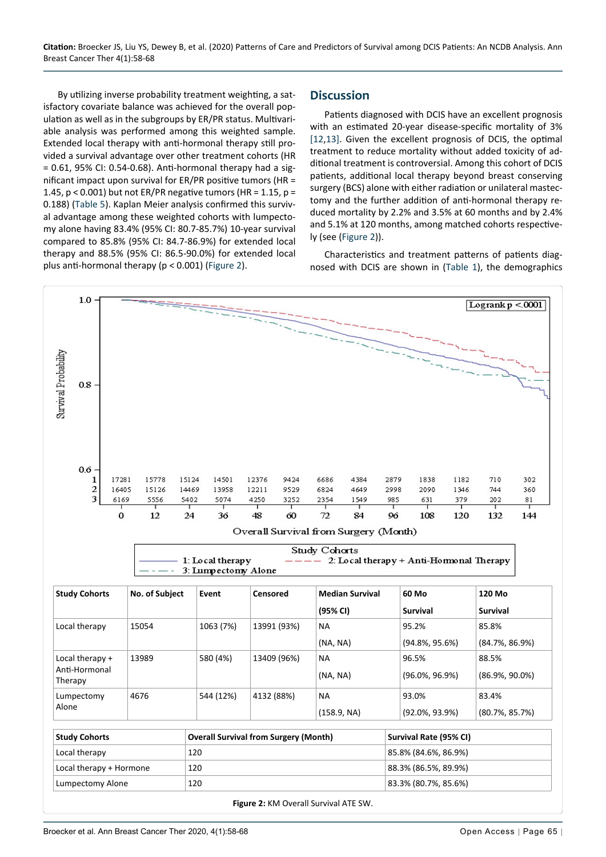By utilizing inverse probability treatment weighting, a satisfactory covariate balance was achieved for the overall population as well as in the subgroups by ER/PR status. Multivariable analysis was performed among this weighted sample. Extended local therapy with anti-hormonal therapy still provided a survival advantage over other treatment cohorts (HR  $= 0.61$ , 95% CI: 0.54-0.68). Anti-hormonal therapy had a significant impact upon survival for ER/PR positive tumors (HR = 1.45,  $p < 0.001$ ) but not ER/PR negative tumors (HR = 1.15,  $p =$ 0.188) ([Table 5](#page-6-1)). Kaplan Meier analysis confirmed this survival advantage among these weighted cohorts with lumpectomy alone having 83.4% (95% CI: 80.7-85.7%) 10-year survival compared to 85.8% (95% CI: 84.7-86.9%) for extended local therapy and 88.5% (95% CI: 86.5-90.0%) for extended local plus anti-hormonal therapy (p < 0.001) ([Figure 2](#page-7-0)).

#### **Discussion**

Patients diagnosed with DCIS have an excellent prognosis with an estimated 20-year disease-specific mortality of 3% [[12,](#page-9-4)[13\]](#page-9-7). Given the excellent prognosis of DCIS, the optimal treatment to reduce mortality without added toxicity of additional treatment is controversial. Among this cohort of DCIS patients, additional local therapy beyond breast conserving surgery (BCS) alone with either radiation or unilateral mastectomy and the further addition of anti-hormonal therapy reduced mortality by 2.2% and 3.5% at 60 months and by 2.4% and 5.1% at 120 months, among matched cohorts respectively (see ([Figure 2\)](#page-7-0)).

Characteristics and treatment patterns of patients diagnosed with DCIS are shown in [\(Table 1](#page-1-0)), the demographics

<span id="page-7-0"></span>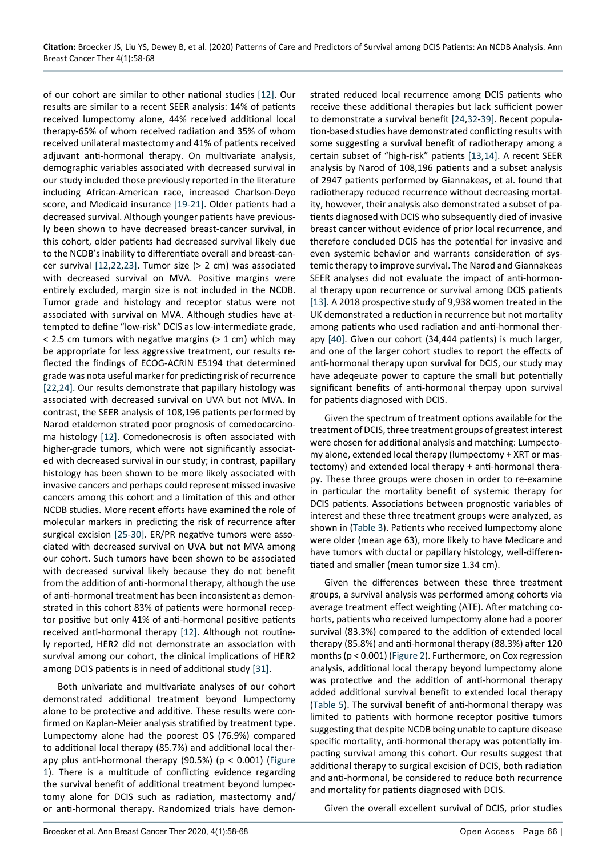of our cohort are similar to other national studies [\[12](#page-9-4)]. Our results are similar to a recent SEER analysis: 14% of patients received lumpectomy alone, 44% received additional local therapy-65% of whom received radiation and 35% of whom received unilateral mastectomy and 41% of patients received adjuvant anti-hormonal therapy. On multivariate analysis, demographic variables associated with decreased survival in our study included those previously reported in the literature including African-American race, increased Charlson-Deyo score, and Medicaid insurance [\[19](#page-10-6)[-21](#page-10-7)]. Older patients had a decreased survival. Although younger patients have previously been shown to have decreased breast-cancer survival, in this cohort, older patients had decreased survival likely due to the NCDB's inability to differentiate overall and breast-cancer survival [\[12](#page-9-4),[22](#page-10-8),[23\]](#page-10-9). Tumor size (> 2 cm) was associated with decreased survival on MVA. Positive margins were entirely excluded, margin size is not included in the NCDB. Tumor grade and histology and receptor status were not associated with survival on MVA. Although studies have attempted to define "low-risk" DCIS as low-intermediate grade,  $<$  2.5 cm tumors with negative margins ( $>$  1 cm) which may be appropriate for less aggressive treatment, our results reflected the findings of ECOG-ACRIN E5194 that determined grade was nota useful marker for predicting risk of recurrence [[22,](#page-10-8)[24](#page-10-2)]. Our results demonstrate that papillary histology was associated with decreased survival on UVA but not MVA. In contrast, the SEER analysis of 108,196 patients performed by Narod etaldemon strated poor prognosis of comedocarcinoma histology [[12](#page-9-4)]. Comedonecrosis is often associated with higher-grade tumors, which were not significantly associated with decreased survival in our study; in contrast, papillary histology has been shown to be more likely associated with invasive cancers and perhaps could represent missed invasive cancers among this cohort and a limitation of this and other NCDB studies. More recent efforts have examined the role of molecular markers in predicting the risk of recurrence after surgical excision [\[25-](#page-10-10)[30\]](#page-10-11). ER/PR negative tumors were associated with decreased survival on UVA but not MVA among our cohort. Such tumors have been shown to be associated with decreased survival likely because they do not benefit from the addition of anti-hormonal therapy, although the use of anti-hormonal treatment has been inconsistent as demonstrated in this cohort 83% of patients were hormonal receptor positive but only 41% of anti-hormonal positive patients received anti-hormonal therapy [[12\]](#page-9-4). Although not routinely reported, HER2 did not demonstrate an association with survival among our cohort, the clinical implications of HER2 among DCIS patients is in need of additional study [\[31](#page-10-12)].

Both univariate and multivariate analyses of our cohort demonstrated additional treatment beyond lumpectomy alone to be protective and additive. These results were confirmed on Kaplan-Meier analysis stratified by treatment type. Lumpectomy alone had the poorest OS (76.9%) compared to additional local therapy (85.7%) and additional local therapy plus anti-hormonal therapy (90.5%) (p < 0.001) [\(Figure](#page-4-0)  [1](#page-4-0)). There is a multitude of conflicting evidence regarding the survival benefit of additional treatment beyond lumpectomy alone for DCIS such as radiation, mastectomy and/ or anti-hormonal therapy. Randomized trials have demonstrated reduced local recurrence among DCIS patients who receive these additional therapies but lack sufficient power to demonstrate a survival benefit [[24](#page-10-2),[32](#page-10-3)-[39\]](#page-10-4). Recent population-based studies have demonstrated conflicting results with some suggesting a survival benefit of radiotherapy among a certain subset of "high-risk" patients [\[13](#page-9-7),[14\]](#page-9-8). A recent SEER analysis by Narod of 108,196 patients and a subset analysis of 2947 patients performed by Giannakeas, et al. found that radiotherapy reduced recurrence without decreasing mortality, however, their analysis also demonstrated a subset of patients diagnosed with DCIS who subsequently died of invasive breast cancer without evidence of prior local recurrence, and therefore concluded DCIS has the potential for invasive and even systemic behavior and warrants consideration of systemic therapy to improve survival. The Narod and Giannakeas SEER analyses did not evaluate the impact of anti-hormonal therapy upon recurrence or survival among DCIS patients [[13\]](#page-9-7). A 2018 prospective study of 9,938 women treated in the UK demonstrated a reduction in recurrence but not mortality among patients who used radiation and anti-hormonal therapy [[40\]](#page-10-5). Given our cohort (34,444 patients) is much larger, and one of the larger cohort studies to report the effects of anti-hormonal therapy upon survival for DCIS, our study may have adeqeuate power to capture the small but potentially significant benefits of anti-hormonal therpay upon survival for patients diagnosed with DCIS.

Given the spectrum of treatment options available for the treatment of DCIS, three treatment groups of greatest interest were chosen for additional analysis and matching: Lumpectomy alone, extended local therapy (lumpectomy + XRT or mastectomy) and extended local therapy + anti-hormonal therapy. These three groups were chosen in order to re-examine in particular the mortality benefit of systemic therapy for DCIS patients. Associations between prognostic variables of interest and these three treatment groups were analyzed, as shown in ([Table 3](#page-4-1)). Patients who received lumpectomy alone were older (mean age 63), more likely to have Medicare and have tumors with ductal or papillary histology, well-differentiated and smaller (mean tumor size 1.34 cm).

Given the differences between these three treatment groups, a survival analysis was performed among cohorts via average treatment effect weighting (ATE). After matching cohorts, patients who received lumpectomy alone had a poorer survival (83.3%) compared to the addition of extended local therapy (85.8%) and anti-hormonal therapy (88.3%) after 120 months (p < 0.001) [\(Figure 2](#page-7-0)). Furthermore, on Cox regression analysis, additional local therapy beyond lumpectomy alone was protective and the addition of anti-hormonal therapy added additional survival benefit to extended local therapy ([Table 5\)](#page-6-1). The survival benefit of anti-hormonal therapy was limited to patients with hormone receptor positive tumors suggesting that despite NCDB being unable to capture disease specific mortality, anti-hormonal therapy was potentially impacting survival among this cohort. Our results suggest that additional therapy to surgical excision of DCIS, both radiation and anti-hormonal, be considered to reduce both recurrence and mortality for patients diagnosed with DCIS.

Given the overall excellent survival of DCIS, prior studies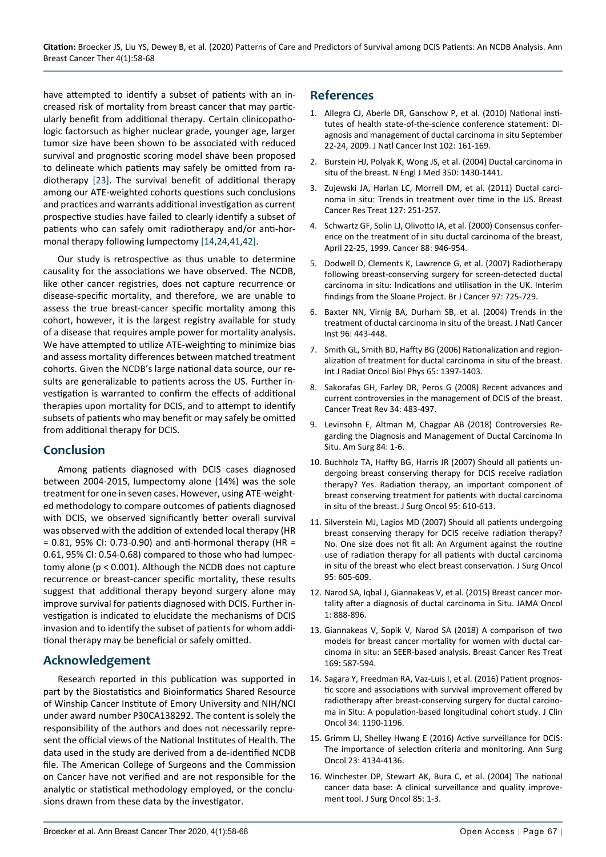have attempted to identify a subset of patients with an increased risk of mortality from breast cancer that may particularly benefit from additional therapy. Certain clinicopathologic factorsuch as higher nuclear grade, younger age, larger tumor size have been shown to be associated with reduced survival and prognostic scoring model shave been proposed to delineate which patients may safely be omitted from radiotherapy [\[23](#page-10-9)]. The survival benefit of additional therapy among our ATE-weighted cohorts questions such conclusions and practices and warrants additional investigation as current prospective studies have failed to clearly identify a subset of patients who can safely omit radiotherapy and/or anti-hormonal therapy following lumpectomy [[14](#page-9-8),[24](#page-10-2),[41](#page-10-13),[42\]](#page-10-14).

Our study is retrospective as thus unable to determine causality for the associations we have observed. The NCDB, like other cancer registries, does not capture recurrence or disease-specific mortality, and therefore, we are unable to assess the true breast-cancer specific mortality among this cohort, however, it is the largest registry available for study of a disease that requires ample power for mortality analysis. We have attempted to utilize ATE-weighting to minimize bias and assess mortality differences between matched treatment cohorts. Given the NCDB's large national data source, our results are generalizable to patients across the US. Further investigation is warranted to confirm the effects of additional therapies upon mortality for DCIS, and to attempt to identify subsets of patients who may benefit or may safely be omitted from additional therapy for DCIS.

#### **Conclusion**

Among patients diagnosed with DCIS cases diagnosed between 2004-2015, lumpectomy alone (14%) was the sole treatment for one in seven cases. However, using ATE-weighted methodology to compare outcomes of patients diagnosed with DCIS, we observed significantly better overall survival was observed with the addition of extended local therapy (HR  $= 0.81$ , 95% CI: 0.73-0.90) and anti-hormonal therapy (HR  $=$ 0.61, 95% CI: 0.54-0.68) compared to those who had lumpectomy alone (p < 0.001). Although the NCDB does not capture recurrence or breast-cancer specific mortality, these results suggest that additional therapy beyond surgery alone may improve survival for patients diagnosed with DCIS. Further investigation is indicated to elucidate the mechanisms of DCIS invasion and to identify the subset of patients for whom additional therapy may be beneficial or safely omitted.

## **Acknowledgement**

Research reported in this publication was supported in part by the Biostatistics and Bioinformatics Shared Resource of Winship Cancer Institute of Emory University and NIH/NCI under award number P30CA138292. The content is solely the responsibility of the authors and does not necessarily represent the official views of the National Institutes of Health. The data used in the study are derived from a de-identified NCDB file. The American College of Surgeons and the Commission on Cancer have not verified and are not responsible for the analytic or statistical methodology employed, or the conclusions drawn from these data by the investigator.

### **References**

- <span id="page-9-0"></span>1. [Allegra CJ, Aberle DR, Ganschow P, et al. \(2010\) National insti](https://europepmc.org/article/med/20071686)[tutes of health state-of-the-science conference statement: Di](https://europepmc.org/article/med/20071686)[agnosis and management of ductal carcinoma in situ September](https://europepmc.org/article/med/20071686)  [22-24, 2009. J Natl Cancer Inst 102: 161-169.](https://europepmc.org/article/med/20071686)
- 2. [Burstein HJ, Polyak K, Wong JS, et al. \(2004\) Ductal carcinoma in](https://pubmed.ncbi.nlm.nih.gov/15070793/)  [situ of the breast. N Engl J Med 350: 1430-1441.](https://pubmed.ncbi.nlm.nih.gov/15070793/)
- 3. [Zujewski JA, Harlan LC, Morrell DM, et al. \(2011\) Ductal carci](https://pubmed.ncbi.nlm.nih.gov/20931276/)[noma in situ: Trends in treatment over time in the US. Breast](https://pubmed.ncbi.nlm.nih.gov/20931276/)  [Cancer Res Treat 127: 251-257.](https://pubmed.ncbi.nlm.nih.gov/20931276/)
- 4. [Schwartz GF, Solin LJ, Olivotto IA, et al. \(2000\) Consensus confer](https://pubmed.ncbi.nlm.nih.gov/10679665/)[ence on the treatment of in situ ductal carcinoma of the breast,](https://pubmed.ncbi.nlm.nih.gov/10679665/)  [April 22-25, 1999. Cancer 88: 946-954.](https://pubmed.ncbi.nlm.nih.gov/10679665/)
- 5. [Dodwell D, Clements K, Lawrence G, et al. \(2007\) Radiotherapy](https://pubmed.ncbi.nlm.nih.gov/17848911/)  [following breast-conserving surgery for screen-detected ductal](https://pubmed.ncbi.nlm.nih.gov/17848911/)  [carcinoma in situ: Indications and utilisation in the UK. Interim](https://pubmed.ncbi.nlm.nih.gov/17848911/)  [findings from the Sloane Project. Br J Cancer 97: 725-729.](https://pubmed.ncbi.nlm.nih.gov/17848911/)
- 6. [Baxter NN, Virnig BA, Durham SB, et al. \(2004\) Trends in the](https://pubmed.ncbi.nlm.nih.gov/15026469/)  [treatment of ductal carcinoma in situ of the breast. J Natl Cancer](https://pubmed.ncbi.nlm.nih.gov/15026469/)  [Inst 96: 443-448.](https://pubmed.ncbi.nlm.nih.gov/15026469/)
- <span id="page-9-1"></span>7. [Smith GL, Smith BD, Haffty BG \(2006\) Rationalization and region](https://pubmed.ncbi.nlm.nih.gov/16750316/)[alization of treatment for ductal carcinoma in situ of the breast.](https://pubmed.ncbi.nlm.nih.gov/16750316/)  [Int J Radiat Oncol Biol Phys 65: 1397-1403.](https://pubmed.ncbi.nlm.nih.gov/16750316/)
- <span id="page-9-2"></span>8. [Sakorafas GH, Farley DR, Peros G \(2008\) Recent advances and](https://pubmed.ncbi.nlm.nih.gov/18490111/)  [current controversies in the management of DCIS of the breast.](https://pubmed.ncbi.nlm.nih.gov/18490111/)  [Cancer Treat Rev 34: 483-497.](https://pubmed.ncbi.nlm.nih.gov/18490111/)
- 9. [Levinsohn E, Altman M, Chagpar AB \(2018\) Controversies Re](https://pubmed.ncbi.nlm.nih.gov/29428007/)[garding the Diagnosis and Management of Ductal Carcinoma In](https://pubmed.ncbi.nlm.nih.gov/29428007/)  [Situ. Am Surg 84: 1-6.](https://pubmed.ncbi.nlm.nih.gov/29428007/)
- 10. [Buchholz TA, Haffty BG, Harris JR \(2007\) Should all patients un](https://pubmed.ncbi.nlm.nih.gov/17221862/)[dergoing breast conserving therapy for DCIS receive radiation](https://pubmed.ncbi.nlm.nih.gov/17221862/)  [therapy? Yes. Radiation therapy, an important component of](https://pubmed.ncbi.nlm.nih.gov/17221862/)  [breast conserving treatment for patients with ductal carcinoma](https://pubmed.ncbi.nlm.nih.gov/17221862/)  [in situ of the breast. J Surg Oncol 95: 610-613.](https://pubmed.ncbi.nlm.nih.gov/17221862/)
- <span id="page-9-3"></span>11. [Silverstein MJ, Lagios MD \(2007\) Should all patients undergoing](https://pubmed.ncbi.nlm.nih.gov/17192948/)  [breast conserving therapy for DCIS receive radiation therapy?](https://pubmed.ncbi.nlm.nih.gov/17192948/)  [No. One size does not fit all: An Argument against the routine](https://pubmed.ncbi.nlm.nih.gov/17192948/)  [use of radiation therapy for all patients with ductal carcinoma](https://pubmed.ncbi.nlm.nih.gov/17192948/)  [in situ of the breast who elect breast conservation. J Surg Oncol](https://pubmed.ncbi.nlm.nih.gov/17192948/)  [95: 605-609.](https://pubmed.ncbi.nlm.nih.gov/17192948/)
- <span id="page-9-4"></span>12. [Narod SA, Iqbal J, Giannakeas V, et al. \(2015\) Breast cancer mor](https://pubmed.ncbi.nlm.nih.gov/26291673/)[tality after a diagnosis of ductal carcinoma in Situ. JAMA Oncol](https://pubmed.ncbi.nlm.nih.gov/26291673/)  [1: 888-896.](https://pubmed.ncbi.nlm.nih.gov/26291673/)
- <span id="page-9-7"></span>13. [Giannakeas V, Sopik V, Narod SA \(2018\) A comparison of two](https://pubmed.ncbi.nlm.nih.gov/29445939/)  [models for breast cancer mortality for women with ductal car](https://pubmed.ncbi.nlm.nih.gov/29445939/)[cinoma in situ: an SEER-based analysis. Breast Cancer Res Treat](https://pubmed.ncbi.nlm.nih.gov/29445939/)  [169: 587-594.](https://pubmed.ncbi.nlm.nih.gov/29445939/)
- <span id="page-9-8"></span>14. [Sagara Y, Freedman RA, Vaz-Luis I, et al. \(2016\) Patient prognos](https://pubmed.ncbi.nlm.nih.gov/26834064/)[tic score and associations with survival improvement offered by](https://pubmed.ncbi.nlm.nih.gov/26834064/)  [radiotherapy after breast-conserving surgery for ductal carcino](https://pubmed.ncbi.nlm.nih.gov/26834064/)[ma in Situ: A population-based longitudinal cohort study. J Clin](https://pubmed.ncbi.nlm.nih.gov/26834064/)  [Oncol 34: 1190-1196.](https://pubmed.ncbi.nlm.nih.gov/26834064/)
- <span id="page-9-5"></span>15. [Grimm LJ, Shelley Hwang E \(2016\) Active surveillance for DCIS:](https://link.springer.com/article/10.1245/s10434-016-5596-2)  [The importance of selection criteria and monitoring. Ann Surg](https://link.springer.com/article/10.1245/s10434-016-5596-2)  [Oncol 23: 4134-4136.](https://link.springer.com/article/10.1245/s10434-016-5596-2)
- <span id="page-9-6"></span>16. [Winchester DP, Stewart AK, Bura C, et al. \(2004\) The national](https://pubmed.ncbi.nlm.nih.gov/14696080/)  [cancer data base: A clinical surveillance and quality improve](https://pubmed.ncbi.nlm.nih.gov/14696080/)[ment tool. J Surg Oncol 85: 1-3.](https://pubmed.ncbi.nlm.nih.gov/14696080/)